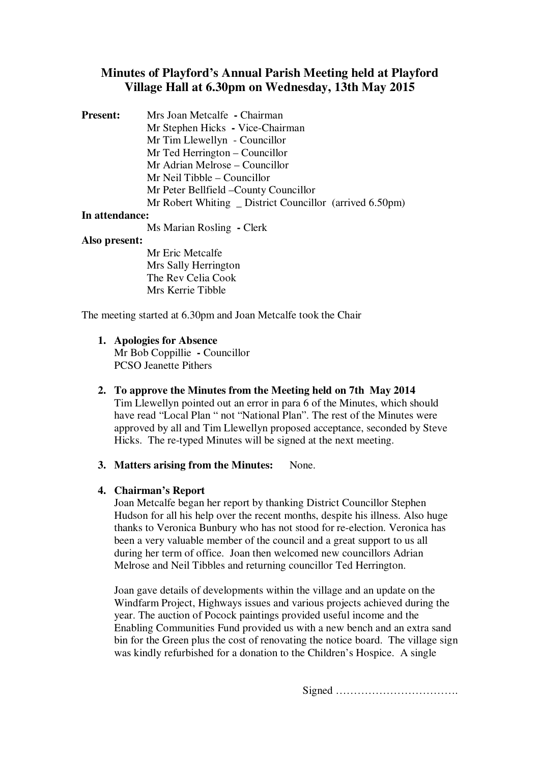# **Minutes of Playford's Annual Parish Meeting held at Playford Village Hall at 6.30pm on Wednesday, 13th May 2015**

**Present:** Mrs Joan Metcalfe **-** Chairman Mr Stephen Hicks **-** Vice-Chairman Mr Tim Llewellyn - Councillor Mr Ted Herrington – Councillor Mr Adrian Melrose – Councillor Mr Neil Tibble – Councillor Mr Peter Bellfield –County Councillor Mr Robert Whiting \_ District Councillor (arrived 6.50pm)

#### **In attendance:**

Ms Marian Rosling **-** Clerk

#### **Also present:**

Mr Eric Metcalfe Mrs Sally Herrington The Rev Celia Cook Mrs Kerrie Tibble

The meeting started at 6.30pm and Joan Metcalfe took the Chair

#### **1. Apologies for Absence**

Mr Bob Coppillie **-** Councillor PCSO Jeanette Pithers

- **2. To approve the Minutes from the Meeting held on 7th May 2014** Tim Llewellyn pointed out an error in para 6 of the Minutes, which should have read "Local Plan " not "National Plan". The rest of the Minutes were approved by all and Tim Llewellyn proposed acceptance, seconded by Steve Hicks. The re-typed Minutes will be signed at the next meeting.
- **3. Matters arising from the Minutes:** None.

## **4. Chairman's Report**

Joan Metcalfe began her report by thanking District Councillor Stephen Hudson for all his help over the recent months, despite his illness. Also huge thanks to Veronica Bunbury who has not stood for re-election. Veronica has been a very valuable member of the council and a great support to us all during her term of office. Joan then welcomed new councillors Adrian Melrose and Neil Tibbles and returning councillor Ted Herrington.

Joan gave details of developments within the village and an update on the Windfarm Project, Highways issues and various projects achieved during the year. The auction of Pocock paintings provided useful income and the Enabling Communities Fund provided us with a new bench and an extra sand bin for the Green plus the cost of renovating the notice board. The village sign was kindly refurbished for a donation to the Children's Hospice. A single

Signed …………………………….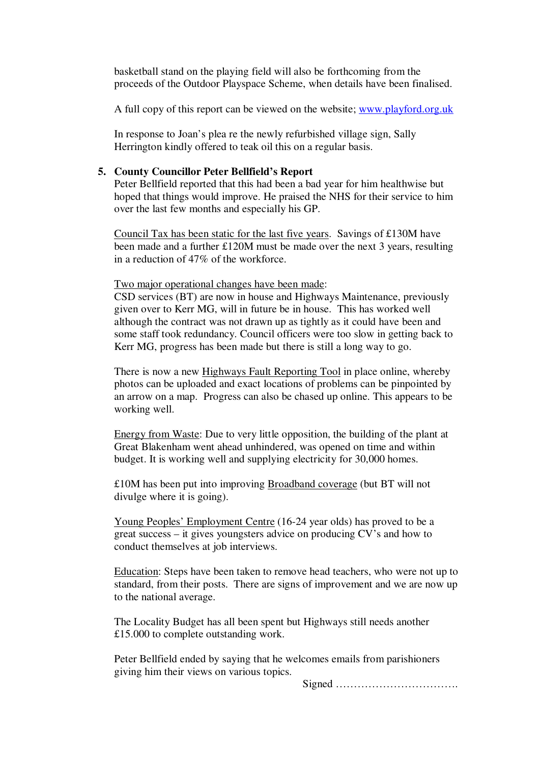basketball stand on the playing field will also be forthcoming from the proceeds of the Outdoor Playspace Scheme, when details have been finalised.

A full copy of this report can be viewed on the website; www.playford.org.uk

In response to Joan's plea re the newly refurbished village sign, Sally Herrington kindly offered to teak oil this on a regular basis.

#### **5. County Councillor Peter Bellfield's Report**

Peter Bellfield reported that this had been a bad year for him healthwise but hoped that things would improve. He praised the NHS for their service to him over the last few months and especially his GP.

Council Tax has been static for the last five years. Savings of £130M have been made and a further £120M must be made over the next 3 years, resulting in a reduction of 47% of the workforce.

Two major operational changes have been made:

CSD services (BT) are now in house and Highways Maintenance, previously given over to Kerr MG, will in future be in house. This has worked well although the contract was not drawn up as tightly as it could have been and some staff took redundancy. Council officers were too slow in getting back to Kerr MG, progress has been made but there is still a long way to go.

There is now a new Highways Fault Reporting Tool in place online, whereby photos can be uploaded and exact locations of problems can be pinpointed by an arrow on a map. Progress can also be chased up online. This appears to be working well.

Energy from Waste: Due to very little opposition, the building of the plant at Great Blakenham went ahead unhindered, was opened on time and within budget. It is working well and supplying electricity for 30,000 homes.

£10M has been put into improving Broadband coverage (but BT will not divulge where it is going).

Young Peoples' Employment Centre (16-24 year olds) has proved to be a great success – it gives youngsters advice on producing CV's and how to conduct themselves at job interviews.

Education: Steps have been taken to remove head teachers, who were not up to standard, from their posts. There are signs of improvement and we are now up to the national average.

The Locality Budget has all been spent but Highways still needs another £15.000 to complete outstanding work.

Peter Bellfield ended by saying that he welcomes emails from parishioners giving him their views on various topics.

Signed …………………………….